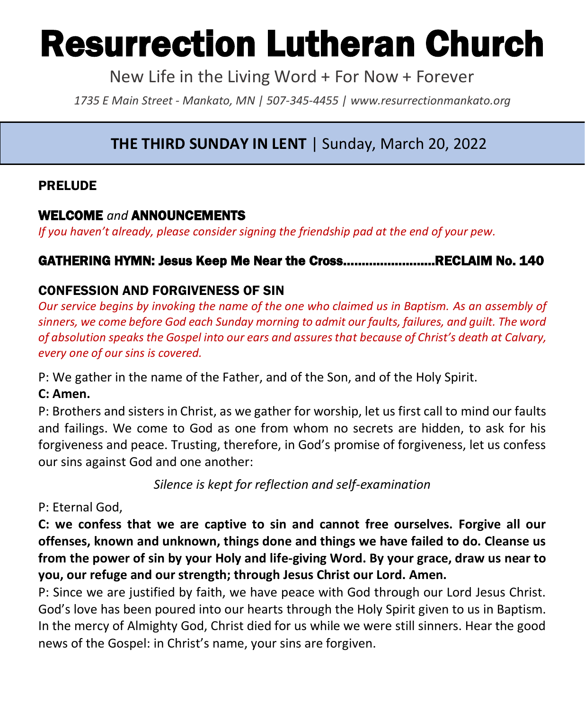# Resurrection Lutheran Church

New Life in the Living Word + For Now + Forever

*1735 E Main Street - Mankato, MN | 507-345-4455 | [www.resurrectionmankato.org](http://www.resurrectionmankato.org/)*

#### *\_\_\_\_\_\_\_\_\_\_\_\_\_\_\_\_\_\_\_\_\_\_\_\_\_\_\_\_\_\_\_\_\_\_\_\_\_\_\_\_\_\_\_\_\_\_\_\_\_\_\_\_\_\_\_\_\_\_\_\_\_\_\_\_\_\_\_\_\_\_\_\_\_\_\_\_\_\_\_ \_\_\_\_\_\_\_\_\_\_\_\_\_\_\_\_\_\_\_\_\_\_\_\_\_\_\_\_\_\_\_\_\_\_\_\_\_\_\_\_\_\_\_\_\_\_\_\_\_\_\_\_\_\_\_\_\_\_\_\_\_\_\_\_\_\_\_\_\_\_\_\_\_\_\_\_\_\_\_* **THE THIRD SUNDAY IN LENT** | Sunday, March 20, 2022

# PRELUDE

# WELCOME *and* ANNOUNCEMENTS

*If you haven't already, please consider signing the friendship pad at the end of your pew.* 

# GATHERING HYMN: Jesus Keep Me Near the Cross…………………….RECLAIM No. 140

# CONFESSION AND FORGIVENESS OF SIN

*Our service begins by invoking the name of the one who claimed us in Baptism. As an assembly of sinners, we come before God each Sunday morning to admit our faults, failures, and guilt. The word of absolution speaks the Gospel into our ears and assures that because of Christ's death at Calvary, every one of our sins is covered.* 

P: We gather in the name of the Father, and of the Son, and of the Holy Spirit.

### **C: Amen.**

P: Brothers and sisters in Christ, as we gather for worship, let us first call to mind our faults and failings. We come to God as one from whom no secrets are hidden, to ask for his forgiveness and peace. Trusting, therefore, in God's promise of forgiveness, let us confess our sins against God and one another:

*Silence is kept for reflection and self-examination*

### P: Eternal God,

**C: we confess that we are captive to sin and cannot free ourselves. Forgive all our offenses, known and unknown, things done and things we have failed to do. Cleanse us from the power of sin by your Holy and life-giving Word. By your grace, draw us near to you, our refuge and our strength; through Jesus Christ our Lord. Amen.** 

P: Since we are justified by faith, we have peace with God through our Lord Jesus Christ. God's love has been poured into our hearts through the Holy Spirit given to us in Baptism. In the mercy of Almighty God, Christ died for us while we were still sinners. Hear the good news of the Gospel: in Christ's name, your sins are forgiven.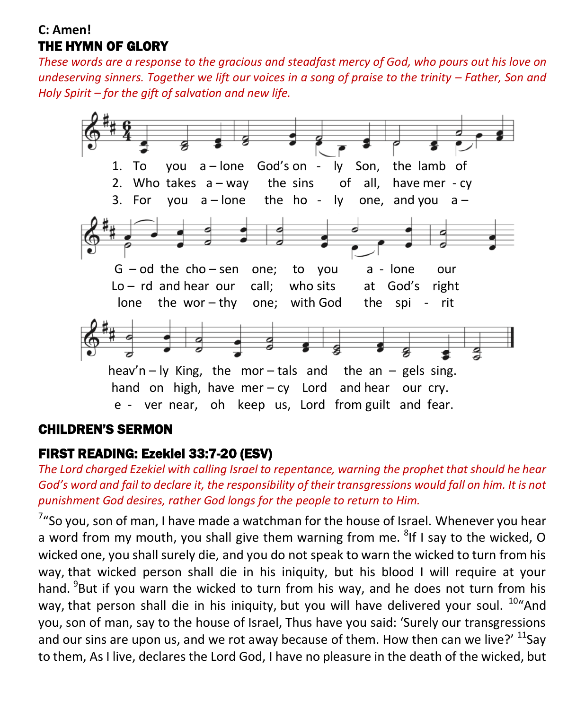### **C: Amen!**  THE HYMN OF GLORY

*These words are a response to the gracious and steadfast mercy of God, who pours out his love on undeserving sinners. Together we lift our voices in a song of praise to the trinity – Father, Son and Holy Spirit – for the gift of salvation and new life.* 



### CHILDREN'S SERMON

### FIRST READING: Ezekiel 33:7-20 (ESV)

*The Lord charged Ezekiel with calling Israel to repentance, warning the prophet that should he hear God's word and fail to declare it, the responsibility of their transgressions would fall on him. It is not punishment God desires, rather God longs for the people to return to Him.* 

 $7"$ So you, son of man, I have made a watchman for the house of Israel. Whenever you hear a word from my mouth, you shall give them warning from me. <sup>8</sup>If I say to the wicked, O wicked one, you shall surely die, and you do not speak to warn the wicked to turn from his way, that wicked person shall die in his iniquity, but his blood I will require at your hand. <sup>9</sup>But if you warn the wicked to turn from his way, and he does not turn from his way, that person shall die in his iniquity, but you will have delivered your soul. <sup>10</sup> And you, son of man, say to the house of Israel, Thus have you said: 'Surely our transgressions and our sins are upon us, and we rot away because of them. How then can we live?'  $^{11}$ Say to them, As I live, declares the Lord God, I have no pleasure in the death of the wicked, but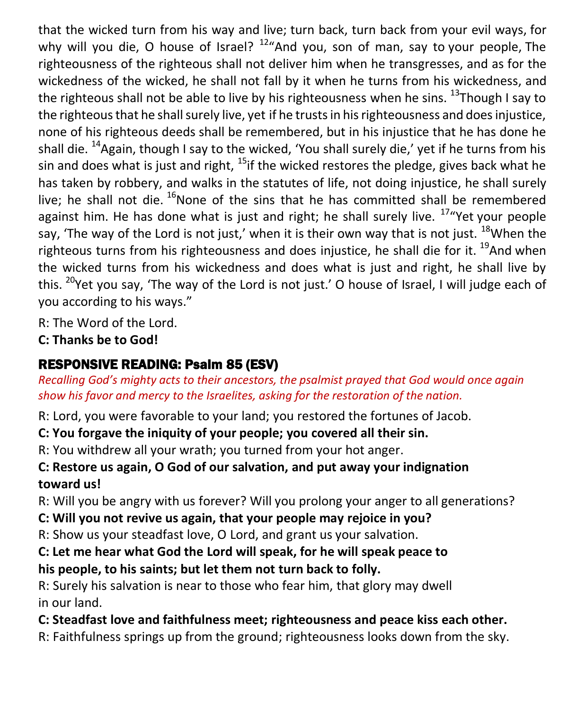that the wicked turn from his way and live; turn back, turn back from your evil ways, for why will you die, O house of Israel?  $12^u$ And you, son of man, say to your people, The righteousness of the righteous shall not deliver him when he transgresses, and as for the wickedness of the wicked, he shall not fall by it when he turns from his wickedness, and the righteous shall not be able to live by his righteousness when he sins.  $^{13}$ Though I say to the righteous that he shall surely live, yet if he trusts in his righteousness and does injustice, none of his righteous deeds shall be remembered, but in his injustice that he has done he shall die.  $^{14}$ Again, though I say to the wicked, 'You shall surely die,' yet if he turns from his sin and does what is just and right,  $^{15}$ if the wicked restores the pledge, gives back what he has taken by robbery, and walks in the statutes of life, not doing injustice, he shall surely live; he shall not die.  $^{16}$ None of the sins that he has committed shall be remembered against him. He has done what is just and right; he shall surely live.  $17\%$  Yet your people say, 'The way of the Lord is not just,' when it is their own way that is not just.  $18$ When the righteous turns from his righteousness and does injustice, he shall die for it. <sup>19</sup>And when the wicked turns from his wickedness and does what is just and right, he shall live by this. <sup>20</sup>Yet you say, 'The way of the Lord is not just.' O house of Israel, I will judge each of you according to his ways."

R: The Word of the Lord.

**C: Thanks be to God!** 

# RESPONSIVE READING: Psalm 85 (ESV)

*Recalling God's mighty acts to their ancestors, the psalmist prayed that God would once again show his favor and mercy to the Israelites, asking for the restoration of the nation.* 

R: Lord, you were favorable to your land; you restored the fortunes of Jacob.

- **C: You forgave the iniquity of your people; you covered all their sin.**
- R: You withdrew all your wrath; you turned from your hot anger.

# **C: Restore us again, O God of our salvation, and put away your indignation toward us!**

R: Will you be angry with us forever? Will you prolong your anger to all generations?

- **C: Will you not revive us again, that your people may rejoice in you?**
- R: Show us your steadfast love, O Lord, and grant us your salvation.

# **C: Let me hear what God the Lord will speak, for he will speak peace to his people, to his saints; but let them not turn back to folly.**

R: Surely his salvation is near to those who fear him, that glory may dwell in our land.

# **C: Steadfast love and faithfulness meet; righteousness and peace kiss each other.**

R: Faithfulness springs up from the ground; righteousness looks down from the sky.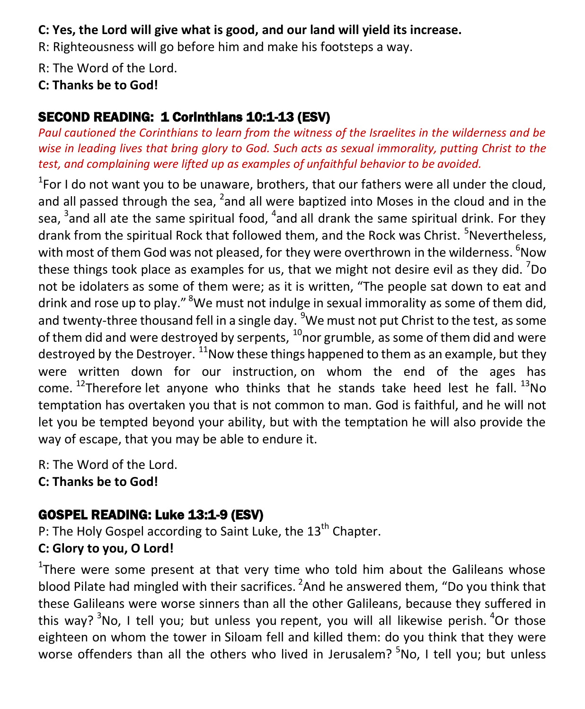# **C: Yes, the Lord will give what is good, and our land will yield its increase.**

R: Righteousness will go before him and make his footsteps a way.

R: The Word of the Lord.

# **C: Thanks be to God!**

# SECOND READING: 1 Corinthians 10:1-13 (ESV)

*Paul cautioned the Corinthians to learn from the witness of the Israelites in the wilderness and be wise in leading lives that bring glory to God. Such acts as sexual immorality, putting Christ to the test, and complaining were lifted up as examples of unfaithful behavior to be avoided.* 

 $1$ For I do not want you to be unaware, brothers, that our fathers were all under the cloud, and all passed through the sea,  $^2$ and all were baptized into Moses in the cloud and in the sea, <sup>3</sup>and all ate the same spiritual food, <sup>4</sup>and all drank the same spiritual drink. For they drank from the spiritual Rock that followed them, and the Rock was Christ. <sup>5</sup>Nevertheless. with most of them God was not pleased, for they were overthrown in the wilderness. <sup>6</sup>Now these things took place as examples for us, that we might not desire evil as they did.  $7$ Do not be idolaters as some of them were; as it is written, "The people sat down to eat and drink and rose up to play." <sup>8</sup>We must not indulge in sexual immorality as some of them did, and twenty-three thousand fell in a single day. <sup>9</sup>We must not put Christ to the test, as some of them did and were destroyed by serpents,  $^{10}$ nor grumble, as some of them did and were destroyed by the Destroyer.  $^{11}$ Now these things happened to them as an example, but they were written down for our instruction, on whom the end of the ages has come. <sup>12</sup>Therefore let anyone who thinks that he stands take heed lest he fall.  $^{13}$ No temptation has overtaken you that is not common to man. God is faithful, and he will not let you be tempted beyond your ability, but with the temptation he will also provide the way of escape, that you may be able to endure it.

R: The Word of the Lord. **C: Thanks be to God!** 

# GOSPEL READING: Luke 13:1-9 (ESV)

P: The Holy Gospel according to Saint Luke, the  $13<sup>th</sup>$  Chapter.

# **C: Glory to you, O Lord!**

<sup>1</sup>There were some present at that very time who told him about the Galileans whose blood Pilate had mingled with their sacrifices. <sup>2</sup>And he answered them, "Do you think that these Galileans were worse sinners than all the other Galileans, because they suffered in this way?  $3N$ o, I tell you; but unless you repent, you will all likewise perish.  $4$ Or those eighteen on whom the tower in Siloam fell and killed them: do you think that they were worse offenders than all the others who lived in Jerusalem? <sup>5</sup>No, I tell you; but unless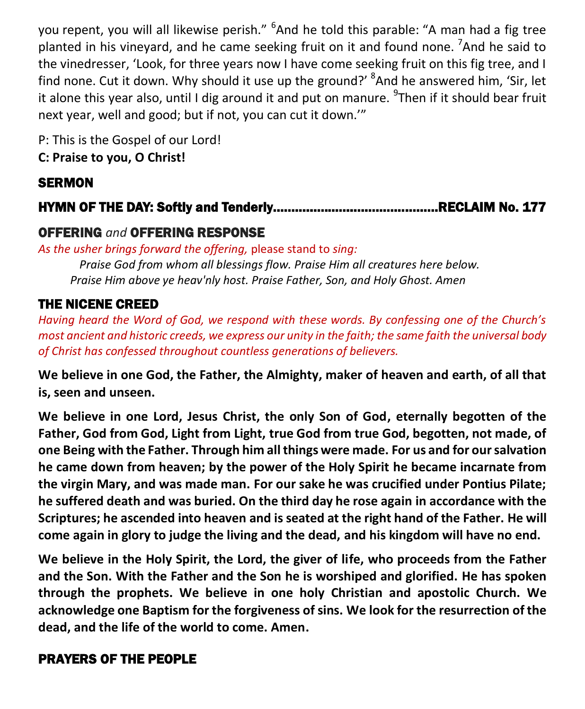you repent, you will all likewise perish." <sup>6</sup>And he told this parable: "A man had a fig tree planted in his vineyard, and he came seeking fruit on it and found none. <sup>7</sup>And he said to the vinedresser, 'Look, for three years now I have come seeking fruit on this fig tree, and I find none. Cut it down. Why should it use up the ground?' <sup>8</sup>And he answered him, 'Sir, let it alone this year also, until I dig around it and put on manure. <sup>9</sup>Then if it should bear fruit next year, well and good; but if not, you can cut it down.'"

P: This is the Gospel of our Lord! **C: Praise to you, O Christ!** 

# **SERMON**

# HYMN OF THE DAY: Softly and Tenderly………………………………………RECLAIM No. 177

# OFFERING *and* OFFERING RESPONSE

*As the usher brings forward the offering,* please stand to *sing:*

*Praise God from whom all blessings flow. Praise Him all creatures here below. Praise Him above ye heav'nly host. Praise Father, Son, and Holy Ghost. Amen*

# THE NICENE CREED

*Having heard the Word of God, we respond with these words. By confessing one of the Church's most ancient and historic creeds, we express our unity in the faith; the same faith the universal body of Christ has confessed throughout countless generations of believers.* 

**We believe in one God, the Father, the Almighty, maker of heaven and earth, of all that is, seen and unseen.**

**We believe in one Lord, Jesus Christ, the only Son of God, eternally begotten of the Father, God from God, Light from Light, true God from true God, begotten, not made, of one Being with the Father. Through him all things were made. For us and for our salvation he came down from heaven; by the power of the Holy Spirit he became incarnate from the virgin Mary, and was made man. For our sake he was crucified under Pontius Pilate; he suffered death and was buried. On the third day he rose again in accordance with the Scriptures; he ascended into heaven and is seated at the right hand of the Father. He will come again in glory to judge the living and the dead, and his kingdom will have no end.**

**We believe in the Holy Spirit, the Lord, the giver of life, who proceeds from the Father and the Son. With the Father and the Son he is worshiped and glorified. He has spoken through the prophets. We believe in one holy Christian and apostolic Church. We acknowledge one Baptism for the forgiveness of sins. We look for the resurrection of the dead, and the life of the world to come. Amen.**

# PRAYERS OF THE PEOPLE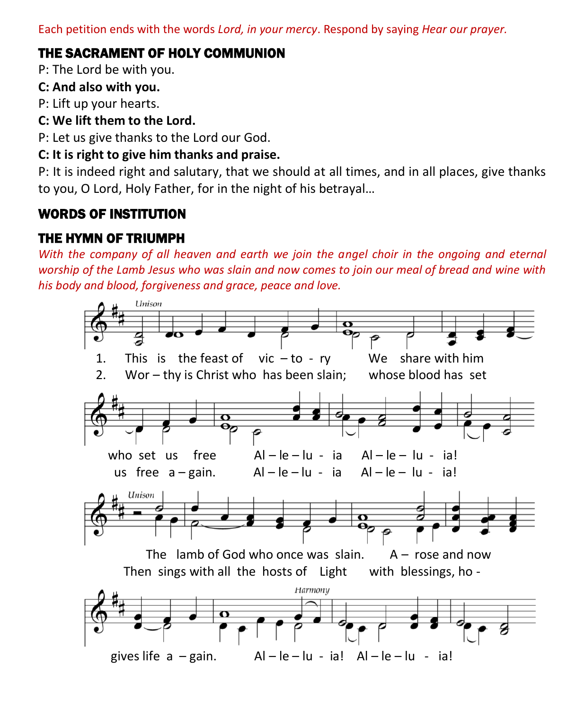Each petition ends with the words *Lord, in your mercy*. Respond by saying *Hear our prayer.*

# THE SACRAMENT OF HOLY COMMUNION

P: The Lord be with you.

#### **C: And also with you.**

P: Lift up your hearts.

# **C: We lift them to the Lord.**

P: Let us give thanks to the Lord our God.

#### **C: It is right to give him thanks and praise.**

P: It is indeed right and salutary, that we should at all times, and in all places, give thanks to you, O Lord, Holy Father, for in the night of his betrayal…

# WORDS OF INSTITUTION

# THE HYMN OF TRIUMPH

*With the company of all heaven and earth we join the angel choir in the ongoing and eternal worship of the Lamb Jesus who was slain and now comes to join our meal of bread and wine with his body and blood, forgiveness and grace, peace and love.* 

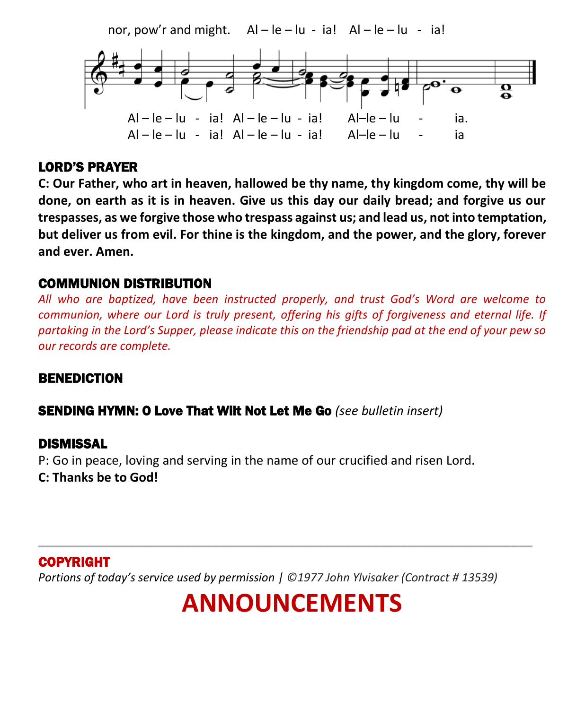nor, pow'r and might.  $AI - Ie - Iu - ia!$   $AI - Ie - Iu - ia!$ 



### LORD'S PRAYER

**C: Our Father, who art in heaven, hallowed be thy name, thy kingdom come, thy will be done, on earth as it is in heaven. Give us this day our daily bread; and forgive us our trespasses, as we forgive those who trespass against us; and lead us, not into temptation, but deliver us from evil. For thine is the kingdom, and the power, and the glory, forever and ever. Amen.**

### COMMUNION DISTRIBUTION

*All who are baptized, have been instructed properly, and trust God's Word are welcome to communion, where our Lord is truly present, offering his gifts of forgiveness and eternal life. If partaking in the Lord's Supper, please indicate this on the friendship pad at the end of your pew so our records are complete.*

#### BENEDICTION

#### SENDING HYMN: O Love That Wilt Not Let Me Go *(see bulletin insert)*

#### DISMISSAL

P: Go in peace, loving and serving in the name of our crucified and risen Lord. **C: Thanks be to God!**

### COPYRIGHT

*Portions of today's service used by permission | ©1977 John Ylvisaker (Contract # 13539)*

# **ANNOUNCEMENTS**

\_\_\_\_\_\_\_\_\_\_\_\_\_\_\_\_\_\_\_\_\_\_\_\_\_\_\_\_\_\_\_\_\_\_\_\_\_\_\_\_\_\_\_\_\_\_\_\_\_\_\_\_\_\_\_\_\_\_\_\_\_\_\_\_\_\_\_\_\_\_\_